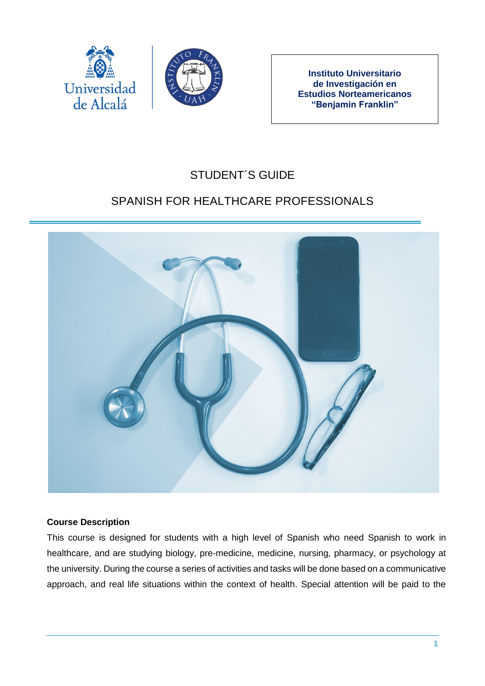



**Instituto Universitario de Investigación en Estudios Norteamericanos "Benjamin Franklin"**

# STUDENT´S GUIDE

# SPANISH FOR HEALTHCARE PROFESSIONALS



### **Course Description**

This course is designed for students with a high level of Spanish who need Spanish to work in healthcare, and are studying biology, pre-medicine, medicine, nursing, pharmacy, or psychology at the university. During the course a series of activities and tasks will be done based on a communicative approach, and real life situations within the context of health. Special attention will be paid to the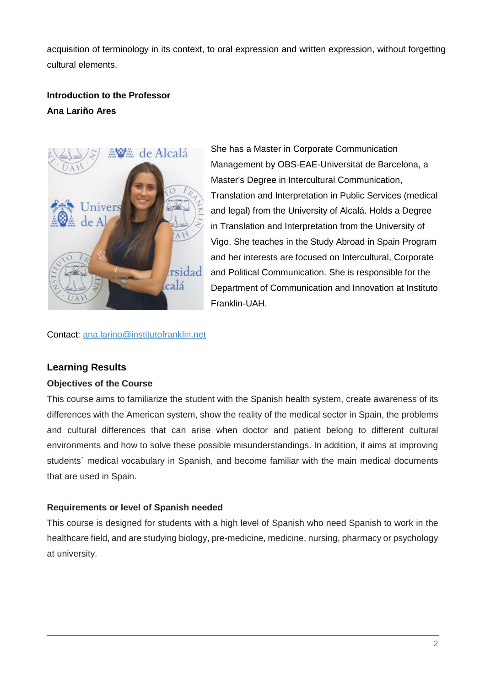acquisition of terminology in its context, to oral expression and written expression, without forgetting cultural elements.

## **Introduction to the Professor Ana Lariño Ares**



She has a Master in Corporate Communication Management by OBS-EAE-Universitat de Barcelona, a Master's Degree in Intercultural Communication, Translation and Interpretation in Public Services (medical and legal) from the University of Alcalá. Holds a Degree in Translation and Interpretation from the University of Vigo. She teaches in the Study Abroad in Spain Program and her interests are focused on Intercultural, Corporate and Political Communication. She is responsible for the Department of Communication and Innovation at Instituto Franklin-UAH.

Contact: [ana.larino@institutofranklin.net](mailto:ana.larino@institutofranklin.net)

## **Learning Results**

#### **Objectives of the Course**

This course aims to familiarize the student with the Spanish health system, create awareness of its differences with the American system, show the reality of the medical sector in Spain, the problems and cultural differences that can arise when doctor and patient belong to different cultural environments and how to solve these possible misunderstandings. In addition, it aims at improving students´ medical vocabulary in Spanish, and become familiar with the main medical documents that are used in Spain.

### **Requirements or level of Spanish needed**

This course is designed for students with a high level of Spanish who need Spanish to work in the healthcare field, and are studying biology, pre-medicine, medicine, nursing, pharmacy or psychology at university.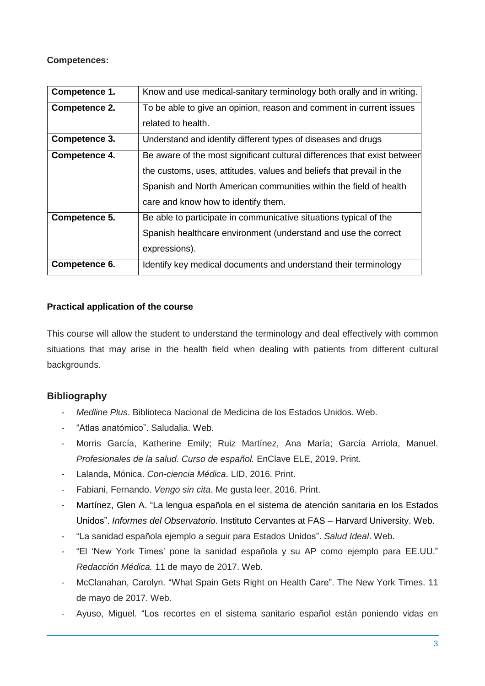**Competences:**

| Competence 1. | Know and use medical-sanitary terminology both orally and in writing.    |
|---------------|--------------------------------------------------------------------------|
| Competence 2. | To be able to give an opinion, reason and comment in current issues      |
|               | related to health.                                                       |
| Competence 3. | Understand and identify different types of diseases and drugs            |
| Competence 4. | Be aware of the most significant cultural differences that exist between |
|               | the customs, uses, attitudes, values and beliefs that prevail in the     |
|               | Spanish and North American communities within the field of health        |
|               | care and know how to identify them.                                      |
| Competence 5. | Be able to participate in communicative situations typical of the        |
|               | Spanish healthcare environment (understand and use the correct           |
|               | expressions).                                                            |
| Competence 6. | Identify key medical documents and understand their terminology          |

#### **Practical application of the course**

This course will allow the student to understand the terminology and deal effectively with common situations that may arise in the health field when dealing with patients from different cultural backgrounds.

## **Bibliography**

- *Medline Plus*. Biblioteca Nacional de Medicina de los Estados Unidos. Web.
- "Atlas anatómico". Saludalia. Web.
- Morris García, Katherine Emily; Ruiz Martínez, Ana María; García Arriola, Manuel. *Profesionales de la salud. Curso de español.* EnClave ELE, 2019. Print.
- Lalanda, Mónica. *Con-ciencia Médica*. LID, 2016. Print.
- Fabiani, Fernando. *Vengo sin cita*. Me gusta leer, 2016. Print.
- Martínez, Glen A. "La lengua española en el sistema de atención sanitaria en los Estados Unidos". *Informes del Observatorio*. Instituto Cervantes at FAS – Harvard University. Web.
- "La sanidad española ejemplo a seguir para Estados Unidos". *Salud Ideal*. Web.
- "El 'New York Times' pone la sanidad española y su AP como ejemplo para EE.UU." *Redacción Médica.* 11 de mayo de 2017. Web.
- McClanahan, Carolyn. "What Spain Gets Right on Health Care". The New York Times. 11 de mayo de 2017. Web.
- Ayuso, Miguel. "Los recortes en el sistema sanitario español están poniendo vidas en